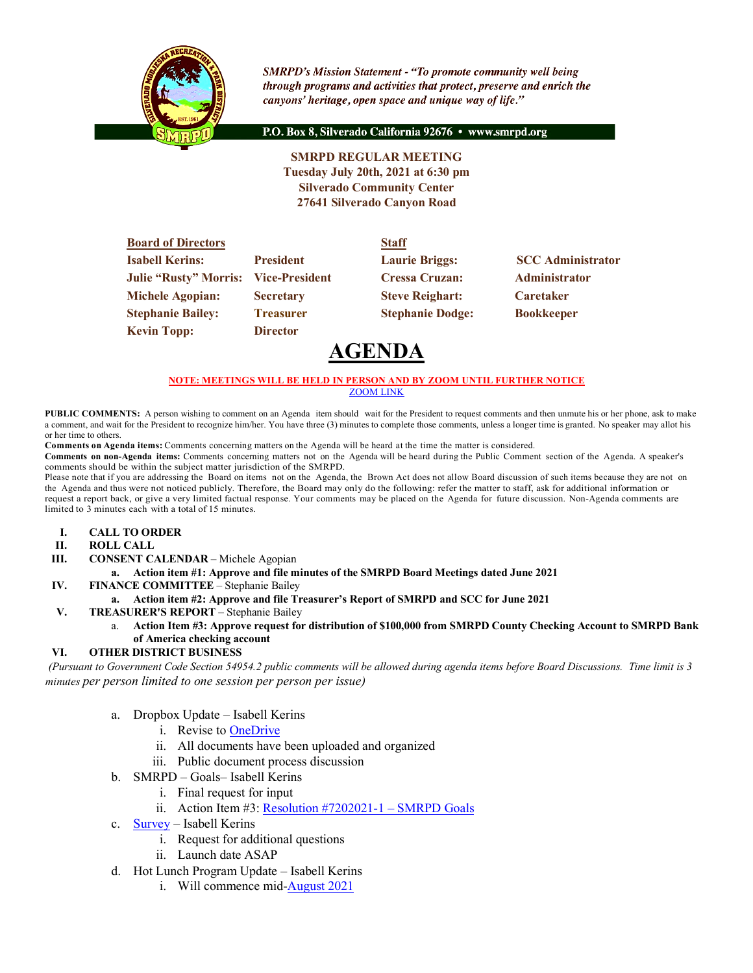

**SMRPD's Mission Statement - "To promote community well being** through programs and activities that protect, preserve and enrich the canyons' heritage, open space and unique way of life."

P.O. Box 8, Silverado California 92676 · www.smrpd.org

**SMRPD REGULAR MEETING Tuesday July 20th, 2021 at 6:30 pm Silverado Community Center 27641 Silverado Canyon Road**

| <b>Board of Directors</b>    |                       | <b>Staff</b>            |                          |
|------------------------------|-----------------------|-------------------------|--------------------------|
| <b>Isabell Kerins:</b>       | <b>President</b>      | <b>Laurie Briggs:</b>   | <b>SCC</b> Administrator |
| <b>Julie "Rusty" Morris:</b> | <b>Vice-President</b> | <b>Cressa Cruzan:</b>   | Administrator            |
| <b>Michele Agopian:</b>      | <b>Secretary</b>      | <b>Steve Reighart:</b>  | <b>Caretaker</b>         |
| <b>Stephanie Bailey:</b>     | <b>Treasurer</b>      | <b>Stephanie Dodge:</b> | <b>Bookkeeper</b>        |
| <b>Kevin Topp:</b>           | <b>Director</b>       |                         |                          |

# **AGENDA**

#### **NOTE: MEETINGS WILL BE HELD IN PERSON AND BY ZOOM UNTIL FURTHER NOTICE**

ZOOM LINK

**PUBLIC COMMENTS:** A person wishing to comment on an Agenda item should wait for the President to request comments and then unmute his or her phone, ask to make a comment, and wait for the President to recognize him/her. You have three (3) minutes to complete those comments, unless a longer time is granted. No speaker may allot his or her time to others.

**Comments on Agenda items:** Comments concerning matters on the Agenda will be heard at the time the matter is considered.

**Comments on non-Agenda items:** Comments concerning matters not on the Agenda will be heard during the Public Comment section of the Agenda. A speaker's comments should be within the subject matter jurisdiction of the SMRPD.

Please note that if you are addressing the Board on items not on the Agenda, the Brown Act does not allow Board discussion of such items because they are not on the Agenda and thus were not noticed publicly. Therefore, the Board may only do the following: refer the matter to staff, ask for additional information or request a report back, or give a very limited factual response. Your comments may be placed on the Agenda for future discussion. Non-Agenda comments are limited to 3 minutes each with a total of 15 minutes.

- **I. CALL TO ORDER**
- **II. ROLL CALL**
- **III. CONSENT CALENDAR** Michele Agopian

#### **a. Action item #1: Approve and file minutes of the SMRPD Board Meetings dated June 2021**

- **IV. FINANCE COMMITTEE** Stephanie Bailey
	- **a. Action item #2: Approve and file Treasurer's Report of SMRPD and SCC for June 2021**
- **V. TREASURER'S REPORT** Stephanie Bailey
	- a. **Action Item #3: Approve request for distribution of \$100,000 from SMRPD County Checking Account to SMRPD Bank of America checking account**

#### **VI. OTHER DISTRICT BUSINESS**

*(Pursuant to Government Code Section 54954.2 public comments will be allowed during agenda items before Board Discussions. Time limit is 3 minutes per person limited to one session per person per issue)*

- a. Dropbox Update Isabell Kerins
	- i. Revise to OneDrive
	- ii. All documents have been uploaded and organized
	- iii. Public document process discussion
- b. SMRPD Goals– Isabell Kerins
	- i. Final request for input
	- ii. Action Item #3: Resolution #7202021-1 SMRPD Goals
- c. Survey Isabell Kerins
	- i. Request for additional questions
	- ii. Launch date ASAP
- d. Hot Lunch Program Update Isabell Kerins
	- i. Will commence mid-August 2021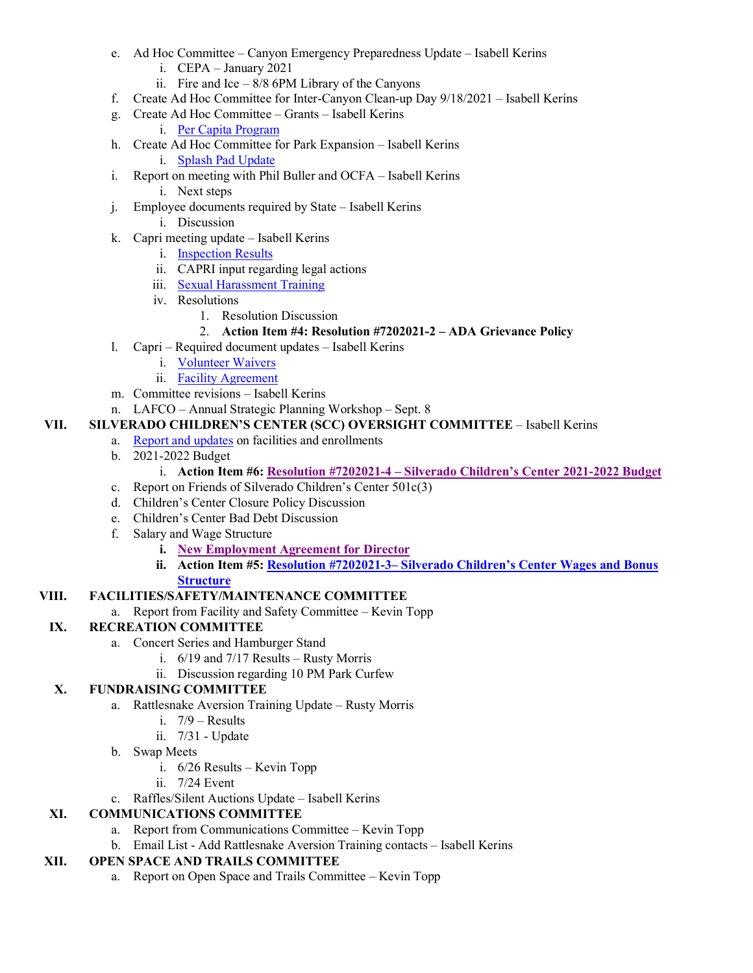- e. Ad Hoc Committee Canyon Emergency Preparedness Update Isabell Kerins
	- i. CEPA January 2021
	- ii. Fire and Ice  $-8/8$  6PM Library of the Canyons
- f. Create Ad Hoc Committee for Inter-Canyon Clean-up Day 9/18/2021 Isabell Kerins
- g. Create Ad Hoc Committee Grants Isabell Kerins
	- i. Per Capita Program
- h. Create Ad Hoc Committee for Park Expansion Isabell Kerins i. Splash Pad Update
- i. Report on meeting with Phil Buller and OCFA Isabell Kerins
	- i. Next steps
- j. Employee documents required by State Isabell Kerins
	- i. Discussion
- k. Capri meeting update Isabell Kerins
	- i. Inspection Results
	- ii. CAPRI input regarding legal actions
	- iii. Sexual Harassment Training
	- iv. Resolutions
		- 1. Resolution Discussion

## 2. **Action Item #4: Resolution #7202021-2 – ADA Grievance Policy**

- l. Capri Required document updates Isabell Kerins
	- i. Volunteer Waivers
	- ii. Facility Agreement
- m. Committee revisions Isabell Kerins
- n. LAFCO Annual Strategic Planning Workshop Sept. 8

# **VII. SILVERADO CHILDREN'S CENTER (SCC) OVERSIGHT COMMITTEE** – Isabell Kerins

- a. Report and updates on facilities and enrollments
- b. 2021-2022 Budget
	- i. **Action Item #6: Resolution #7202021-4 – Silverado Children's Center 2021-2022 Budget**
- c. Report on Friends of Silverado Children's Center 501c(3)
- d. Children's Center Closure Policy Discussion
- e. Children's Center Bad Debt Discussion
- f. Salary and Wage Structure
	- **i. New Employment Agreement for Director**
	- **ii. Action Item #5: Resolution #7202021-3– Silverado Children's Center Wages and Bonus Structure**

#### **VIII. FACILITIES/SAFETY/MAINTENANCE COMMITTEE**

a. Report from Facility and Safety Committee – Kevin Topp

# **IX. RECREATION COMMITTEE**

- a. Concert Series and Hamburger Stand
	- i. 6/19 and 7/17 Results Rusty Morris
	- ii. Discussion regarding 10 PM Park Curfew

# **X. FUNDRAISING COMMITTEE**

- a. Rattlesnake Aversion Training Update Rusty Morris
	- i. 7/9 Results
	- ii. 7/31 Update
	- b. Swap Meets
		- i. 6/26 Results Kevin Topp
		- ii. 7/24 Event
	- c. Raffles/Silent Auctions Update Isabell Kerins

# **XI. COMMUNICATIONS COMMITTEE**

- a. Report from Communications Committee Kevin Topp
- b. Email List Add Rattlesnake Aversion Training contacts Isabell Kerins

#### **XII. OPEN SPACE AND TRAILS COMMITTEE**

a. Report on Open Space and Trails Committee – Kevin Topp